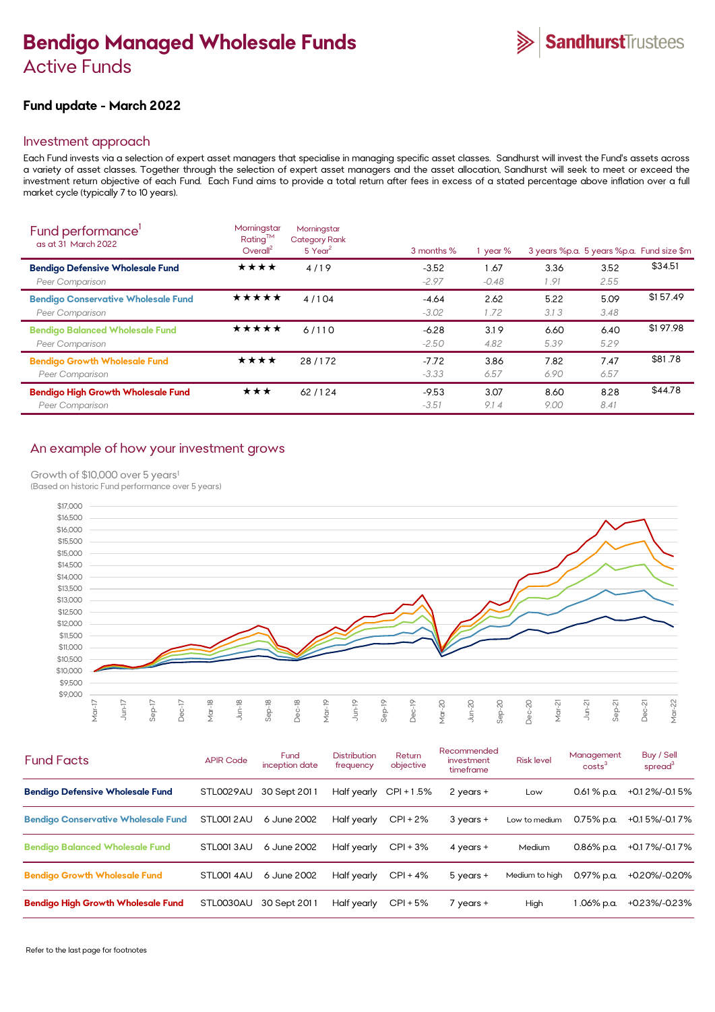# **Bendigo Managed Wholesale Funds**  Active Funds

# **Fund update - March 2022**

# Investment approach

Each Fund invests via a selection of expert asset managers that specialise in managing specific asset classes. Sandhurst will invest the Fund's assets across a variety of asset classes. Together through the selection of expert asset managers and the asset allocation, Sandhurst will seek to meet or exceed the investment return objective of each Fund. Each Fund aims to provide a total return after fees in excess of a stated percentage above inflation over a full market cycle (typically 7 to 10 years).

| Fund performance'<br>as at 31 March 2022                      | Morningstar<br>$Rating^{TM}$<br>Overall <sup>2</sup> | Morningstar<br><b>Category Rank</b><br>$5$ Year <sup>2</sup> | 3 months %         | year %          |              |              | 3 years %p.a. 5 years %p.a. Fund size \$m |
|---------------------------------------------------------------|------------------------------------------------------|--------------------------------------------------------------|--------------------|-----------------|--------------|--------------|-------------------------------------------|
| <b>Bendigo Defensive Wholesale Fund</b><br>Peer Comparison    | ★★★★                                                 | 4/19                                                         | $-3.52$<br>$-2.97$ | 1.67<br>$-0.48$ | 3.36<br>1.91 | 3.52<br>2.55 | \$34.51                                   |
| <b>Bendigo Conservative Wholesale Fund</b><br>Peer Comparison | ★★★★★                                                | 4/104                                                        | $-4.64$<br>$-3.02$ | 2.62<br>1.72    | 5.22<br>3.13 | 5.09<br>3.48 | \$157.49                                  |
| <b>Bendigo Balanced Wholesale Fund</b><br>Peer Comparison     | ★★★★★                                                | 6/110                                                        | $-6.28$<br>$-2.50$ | 3.19<br>4.82    | 6.60<br>5.39 | 6.40<br>5.29 | \$197.98                                  |
| <b>Bendigo Growth Wholesale Fund</b><br>Peer Comparison       | ★★★★                                                 | 28/172                                                       | $-7.72$<br>$-3.33$ | 3.86<br>6.57    | 7.82<br>6.90 | 7.47<br>6.57 | \$81.78                                   |
| <b>Bendigo High Growth Wholesale Fund</b><br>Peer Comparison  | ★★★                                                  | 62/124                                                       | $-9.53$<br>$-3.51$ | 3.07<br>9.14    | 8.60<br>9.00 | 8.28<br>8.41 | \$44.78                                   |

# An example of how your investment grows

# Growth of \$10,000 over 5 years<sup>1</sup>

(Based on historic Fund performance over 5 years)



| <b>Fund Facts</b>                          | <b>APIR Code</b> | <b>Fund</b><br>inception date | <b>Distribution</b><br>frequency | Return<br>objective | Recommended<br>investment<br>timeframe | <b>Risk level</b> | Management<br>costs <sup>3</sup> | Buy / Sell<br>spread $3$ |
|--------------------------------------------|------------------|-------------------------------|----------------------------------|---------------------|----------------------------------------|-------------------|----------------------------------|--------------------------|
| <b>Bendigo Defensive Wholesale Fund</b>    | STLOO29AU        | 30 Sept 2011                  | Half yearly                      | $CPI + 1.5%$        | 2 years +                              | Low               | $0.61\%$ p.a.                    | +0.1 2%/-0.1 5%          |
| <b>Bendigo Conservative Wholesale Fund</b> | STLO012AU        | 6 June 2002                   | Half yearly                      | $CPI + 2%$          | $3$ years $+$                          | Low to medium     | 0.75% p.a.                       | +0.1 5%/-0.1 7%          |
| <b>Bendigo Balanced Wholesale Fund</b>     | STLO013AU        | 6 June 2002                   | Half yearly                      | $CPI + 3%$          | 4 years $+$                            | Medium            | $0.86\%$ p.a.                    | +0.1 7%/-0.1 7%          |
| <b>Bendigo Growth Wholesale Fund</b>       | STLO01 4AU       | 6 June 2002                   | Half yearly                      | $CPI + 4%$          | 5 years +                              | Medium to high    | $0.97\%$ p.a.                    | +0.20%/-0.20%            |
| <b>Bendigo High Growth Wholesale Fund</b>  | STL0030AU        | 30 Sept 2011                  | Half yearly                      | $CPI + 5%$          | $7$ years $+$                          | High              | 1.06% p.a.                       | +0.23%/-0.23%            |
|                                            |                  |                               |                                  |                     |                                        |                   |                                  |                          |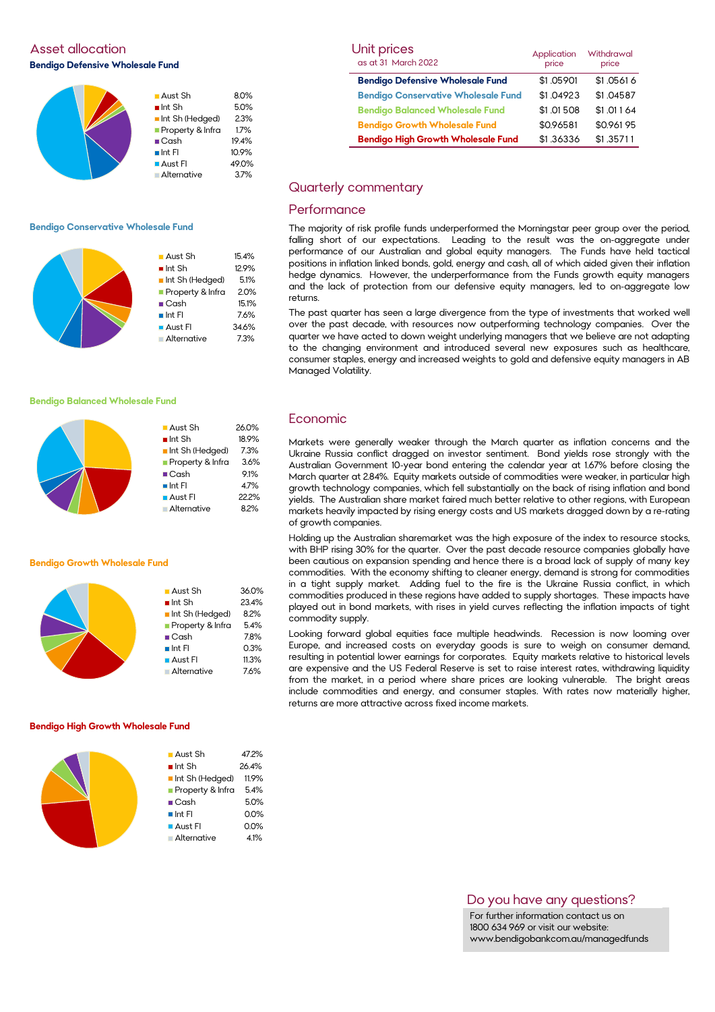Asset allocation **Bendigo Defensive Wholesale Fund** 



### **Bendigo Conservative Wholesale Fund**

|  | $\blacksquare$ Aust Sh | 15.4% |
|--|------------------------|-------|
|  | $\blacksquare$ Int Sh  | 12.9% |
|  | Int Sh (Hedged)        | 5.1%  |
|  | Property & Infra       | 2.0%  |
|  | $\blacksquare$ Cash    | 15.1% |
|  | $\blacksquare$ Int FI  | 7.6%  |
|  | <b>Aust Fl</b>         | 34.6% |
|  | Alternative            | 7.3%  |
|  |                        |       |

#### **Bendigo Balanced Wholesale Fund**

## **Bendigo Growth Wholesale Fund**

| $\blacksquare$ Aust Sh | 36.0% |
|------------------------|-------|
| $\blacksquare$ Int Sh  | 23.4% |
| Int Sh (Hedged)        | 8.2%  |
| Property & Infra       | 5.4%  |
| $\blacksquare$ Cash    | 7.8%  |
| $\blacksquare$ Int FI  | 0.3%  |
| $\blacksquare$ Aust Fl | 11.3% |
| Alternative            | 7.6%  |
|                        |       |

**Aust Sh** 26.0%  $\blacksquare$  Int Sh 18.9% Int Sh (Hedged) 7.3% **Property & Infra** 3.6% ■ Cash 9.1%  $\blacksquare$  Int FI 4.7% ■ Aust FI 22.2% Alternative 8.2%

#### **Bendigo High Growth Wholesale Fund**

| $\blacksquare$ Aust Sh      | 47.2% |
|-----------------------------|-------|
| $\blacksquare$ Int Sh       | 26.4% |
| Int Sh (Hedged)             | 11.9% |
| <b>Property &amp; Infra</b> | 5.4%  |
| $\blacksquare$ Cash         | 5.0%  |
| $\blacksquare$ Int FI       | 0.0%  |
| $\blacksquare$ Aust FI      | 0.0%  |
| <b>Alternative</b>          | 4.1%  |
|                             |       |

| Unit prices<br>as at 31 March 2022         | Application<br>price | Withdrawal<br>price |
|--------------------------------------------|----------------------|---------------------|
| <b>Bendigo Defensive Wholesale Fund</b>    | \$1.05901            | \$1.05616           |
| <b>Bendigo Conservative Wholesale Fund</b> | \$1.04923            | \$1.04587           |
| <b>Bendigo Balanced Wholesale Fund</b>     | \$1.01508            | \$1.01164           |
| <b>Bendigo Growth Wholesale Fund</b>       | \$0.96581            | \$0.96195           |
| <b>Bendigo High Growth Wholesale Fund</b>  | \$1.36336            | \$1.35711           |

# Quarterly commentary

## **Performance**

The majority of risk profile funds underperformed the Morningstar peer group over the period, falling short of our expectations. Leading to the result was the on-aggregate under performance of our Australian and global equity managers. The Funds have held tactical positions in inflation linked bonds, gold, energy and cash, all of which aided given their inflation hedge dynamics. However, the underperformance from the Funds growth equity managers and the lack of protection from our defensive equity managers, led to on-aggregate low returns.

The past quarter has seen a large divergence from the type of investments that worked well over the past decade, with resources now outperforming technology companies. Over the quarter we have acted to down weight underlying managers that we believe are not adapting to the changing environment and introduced several new exposures such as healthcare, consumer staples, energy and increased weights to gold and defensive equity managers in AB Managed Volatility.

## Economic

Markets were generally weaker through the March quarter as inflation concerns and the Ukraine Russia conflict dragged on investor sentiment. Bond yields rose strongly with the Australian Government 10-year bond entering the calendar year at 1.67% before closing the March quarter at 2.84%. Equity markets outside of commodities were weaker, in particular high growth technology companies, which fell substantially on the back of rising inflation and bond yields. The Australian share market faired much better relative to other regions, with European markets heavily impacted by rising energy costs and US markets dragged down by a re-rating of growth companies.

Holding up the Australian sharemarket was the high exposure of the index to resource stocks, with BHP rising 30% for the quarter. Over the past decade resource companies globally have been cautious on expansion spending and hence there is a broad lack of supply of many key commodities. With the economy shifting to cleaner energy, demand is strong for commodities in a tight supply market. Adding fuel to the fire is the Ukraine Russia conflict, in which commodities produced in these regions have added to supply shortages. These impacts have played out in bond markets, with rises in yield curves reflecting the inflation impacts of tight commodity supply.

Looking forward global equities face multiple headwinds. Recession is now looming over Europe, and increased costs on everyday goods is sure to weigh on consumer demand, resulting in potential lower earnings for corporates. Equity markets relative to historical levels are expensive and the US Federal Reserve is set to raise interest rates, withdrawing liquidity from the market, in a period where share prices are looking vulnerable. The bright areas include commodities and energy, and consumer staples. With rates now materially higher, returns are more attractive across fixed income markets.

# Do you have any questions?

For further information contact us on 1800 634 969 or visit our website: www.bendigobankcom.au/managedfunds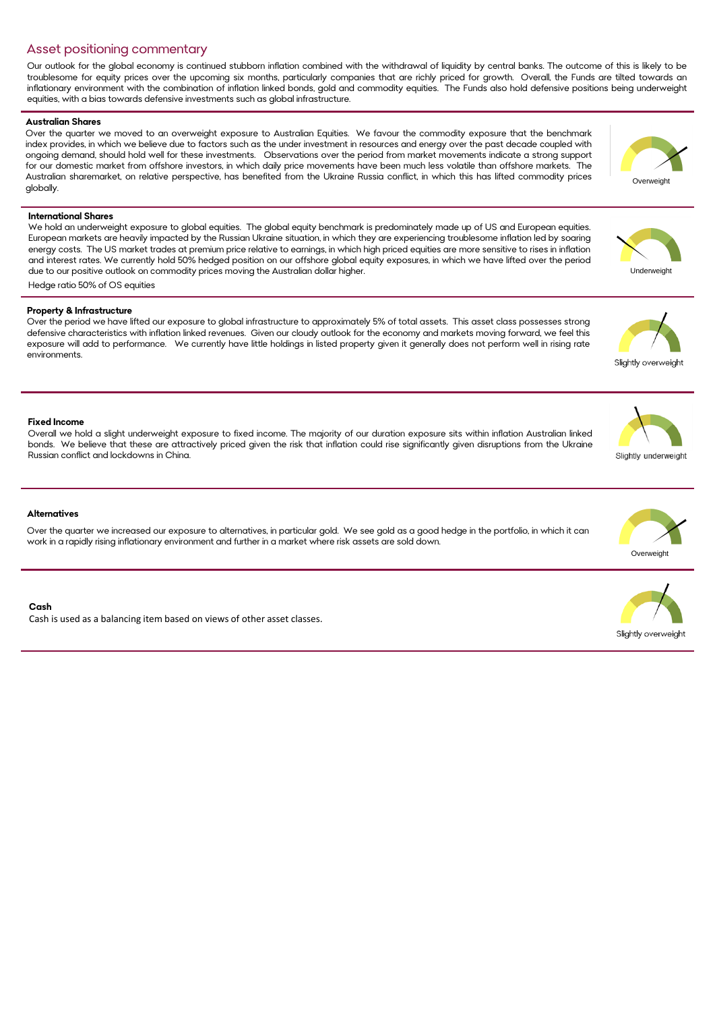# Asset positioning commentary

Our outlook for the global economy is continued stubborn inflation combined with the withdrawal of liquidity by central banks. The outcome of this is likely to be troublesome for equity prices over the upcoming six months, particularly companies that are richly priced for growth. Overall, the Funds are tilted towards an inflationary environment with the combination of inflation linked bonds, gold and commodity equities. The Funds also hold defensive positions being underweight equities, with a bias towards defensive investments such as global infrastructure.

## **Australian Shares**

Over the quarter we moved to an overweight exposure to Australian Equities. We favour the commodity exposure that the benchmark index provides, in which we believe due to factors such as the under investment in resources and energy over the past decade coupled with ongoing demand, should hold well for these investments. Observations over the period from market movements indicate a strong support for our domestic market from offshore investors, in which daily price movements have been much less volatile than offshore markets. The Australian sharemarket, on relative perspective, has benefited from the Ukraine Russia conflict, in which this has lifted commodity prices globally.

## **International Shares**

We hold an underweight exposure to global equities. The global equity benchmark is predominately made up of US and European equities. European markets are heavily impacted by the Russian Ukraine situation, in which they are experiencing troublesome inflation led by soaring energy costs. The US market trades at premium price relative to earnings, in which high priced equities are more sensitive to rises in inflation and interest rates. We currently hold 50% hedged position on our offshore global equity exposures, in which we have lifted over the period due to our positive outlook on commodity prices moving the Australian dollar higher.

Hedge ratio 50% of OS equities

#### **Property & Infrastructure**

Over the period we have lifted our exposure to global infrastructure to approximately 5% of total assets. This asset class possesses strong defensive characteristics with inflation linked revenues. Given our cloudy outlook for the economy and markets moving forward, we feel this exposure will add to performance. We currently have little holdings in listed property given it generally does not perform well in rising rate environments.

#### **Fixed Income**

Overall we hold a slight underweight exposure to fixed income. The majority of our duration exposure sits within inflation Australian linked bonds. We believe that these are attractively priced given the risk that inflation could rise significantly given disruptions from the Ukraine Russian conflict and lockdowns in China.

#### **Alternatives**

Over the quarter we increased our exposure to alternatives, in particular gold. We see gold as a good hedge in the portfolio, in which it can work in a rapidly rising inflationary environment and further in a market where risk assets are sold down.

#### **Cash**

Cash is used as a balancing item based on views of other asset classes.

Overweight

**Underweight** 



Slightly overweight